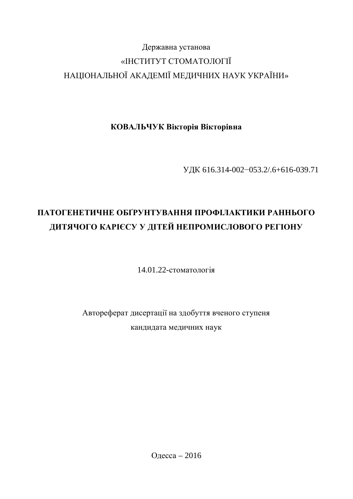# Державна установа «ІНСТИТУТ СТОМАТОЛОГІЇ НАЦІОНАЛЬНОЇ АКАДЕМІЇ МЕДИЧНИХ НАУК УКРАЇНИ»

КОВАЛЬЧУК Вікторія Вікторівна

УДК 616.314-002-053.2/.6+616-039.71

# **ПАТОГЕНЕТИЧНЕ ОБГРУНТУВАННЯ ПРОФІЛАКТИКИ РАННЬОГО** ДИТЯЧОГО КАРІЄСУ У ДІТЕЙ НЕПРОМИСЛОВОГО РЕГІОНУ

 $14.01.22$ - $CTOMa$ TO $Ti$ s

Автореферат дисертації на здобуття вченого ступеня кандидата медичних наук

Одесса – 2016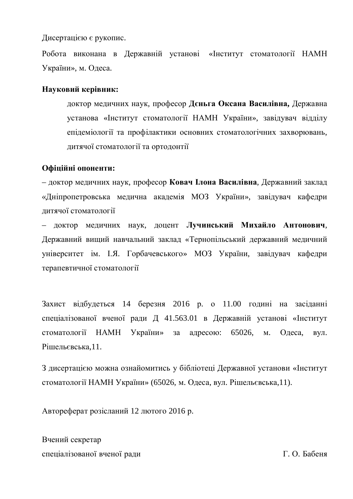Дисертацією є рукопис.

Робота виконана в Державній установі «Інститут стоматології НАМН України», м. Одеса.

### **Науковий керівник:**

доктор медичних наук, професор Дєньга Оксана Василівна, Державна установа «Інститут стоматології НАМН України», завідувач відділу епідеміології та профілактики основних стоматологічних захворювань, дитячої стоматології та ортодонтії

### Офіційні опоненти:

– доктор медичних наук, професор Ковач Ілона Василівна, Державний заклад «Дніпропетровська медична академія МОЗ України», завідувач кафедри дитячої стоматології

– доктор медичних наук, доцент **Лучинський Михайло Антонович**, Державний вищий навчальний заклад «Тернопільський державний медичний університет ім. І.Я. Горбачевського» МОЗ України, завідувач кафедри терапевтичної стоматології

Захист відбудеться 14 березня 2016 р. о 11.00 годині на засіданні спеціалізованої вченої ради Д 41.563.01 в Державній установі «Інститут стоматології НАМН України» за адресою: 65026, м. Одеса, вул. Рішельєвська,11.

З дисертацією можна ознайомитись у бібліотеці Державної установи «Інститут стоматології НАМН України» (65026, м. Одеса, вул. Рішельєвська,11).

Автореферат розісланий 12 лютого 2016 р.

Вчений секретар спеціалізованої вченої ради в повідності часті часті при повідки Г. О. Бабеня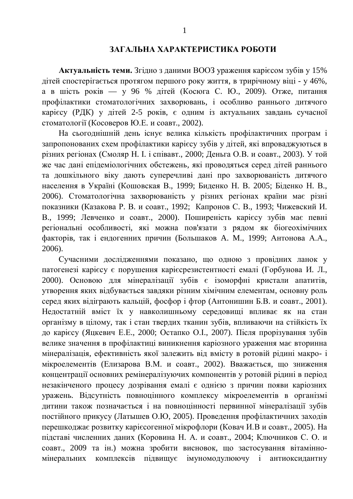### ЗАГАЛЬНА ХАРАКТЕРИСТИКА РОБОТИ

**Актуальність теми.** Згідно з даними ВООЗ ураження карієсом зубів у 15% дітей спостерігається протягом першого року життя, в трирічному віці - у 46%, а в шість років — у 96 % дітей (Косюга С. Ю., 2009). Отже, питання профілактики стоматологічних захворювань, і особливо раннього дитячого карієсу (РДК) у дітей 2-5 років, є одним із актуальних завдань сучасної стоматології (Косоверов Ю.Е. и соавт., 2002).

На сьогоднішній день існує велика кількість профілактичних програм і запропонованих схем профілактики карієсу зубів у дітей, які впроваджуються в різних регіонах (Смоляр Н. І. і співавт., 2000; Деньга О.В. и соавт., 2003). У той же час дані епідеміологічних обстежень, які проводяться серед дітей раннього та дошкільного віку дають суперечливі дані про захворюваність дитячого населення в Україні (Кошовская В., 1999; Биденко Н. В. 2005; Біденко Н. В., 2006). Стоматологічна захворюваність у різних регіонах країни має різні показники (Казакова Р. В. и соавт., 1992; Капронов С. В., 1993; Чижевский И. В., 1999; Левченко и соавт., 2000). Поширеність карієсу зубів має певні регіональні особливості, які можна пов'язати з рядом як біогеохімічних факторів, так і ендогенних причин (Большаков А. М., 1999; Антонова А.А., 2006).

Сучасними дослідженнями показано, що одною з провідних ланок у патогенезі карієсу є порушення карієсрезистентності емалі (Горбунова И. Л., 2000). Основою для мінералізації зубів є ізоморфні кристали апатитів, утворення яких відбувається завдяки різним хімічним елементам, основну роль серед яких відіграють кальцій, фосфор і фтор (Антонишин Б.В. и соавт., 2001). Недостатній вміст їх у навколишньому середовищі впливає як на стан організму в цілому, так і стан твердих тканин зубів, впливаючи на стійкість їх до карієсу (Яцкевич Е.Е., 2000; Остапко О.І., 2007). Після прорізування зубів велике значення в профілактиці виникнення каріозного ураження має вторинна мінералізація, ефективність якої залежить від вмісту в ротовій рідині макро- і мікроелементів (Елизарова В.М. и соавт., 2002). Вважається, що зниження концентрації основних ремінералізуючих компонентів у ротовій рідині в період незакінченого процесу дозрівання емалі є однією з причин появи каріозних уражень. Відсутність повноцінного комплексу мікроелементів в організмі дитини також позначається і на повноцінності первинної мінералізації зубів постійного прикусу (Латышев О.Ю, 2005). Проведення профілактичних заходів перешкоджає розвитку каріє согенної мікрофлори (Ковач И.В и соавт., 2005). На підставі численних даних (Коровина Н. А. и соавт., 2004; Ключников С. О. и соавт., 2009 та ін.) можна зробити висновок, що застосування вітамінномінеральних комплексів підвищує імуномодулюючу і антиоксидантну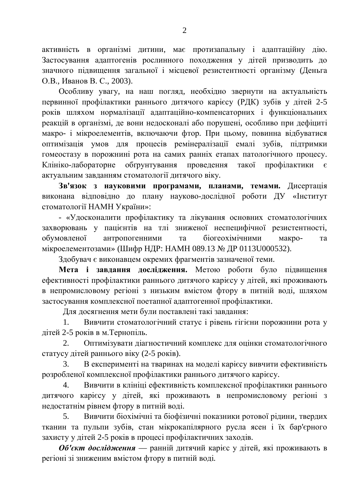активність в організмі дитини, має протизапальну і адаптаційну дію. Застосування адаптогенів рослинного походження у дітей призводить до значного підвищення загальної і місцевої резистентності організму (Деньга О.В., Иванов В. С., 2003).

Особливу увагу, на наш погляд, необхідно звернути на актуальність первинної профілактики раннього дитячого карієсу (РДК) зубів у дітей 2-5 років шляхом нормалізації адаптаційно-компенсаторних і функціональних реакцій в організмі, де вони недосконалі або порушені, особливо при дефіциті макро- і мікроелементів, включаючи фтор. При цьому, повинна відбуватися оптимізація умов для процесів ремінералізації емалі зубів, підтримки гомеостазу в порожнині рота на самих ранніх етапах патологічного процесу. Kлініко-лабораторне обґрунтування проведення такої профілактики є актуальним завданням стоматології дитячого віку.

Зв'язок з науковими програмами, планами, темами. Дисертація виконана відповідно до плану науково-дослідної роботи ДУ «Інститут стоматології НАМН України»:

- «Удосконалити профілактику та лікування основних стоматологічних захворювань у пацієнтів на тлі зниженої неспецифічної резистентності, обумовленої антропогенними та біогеохімічними макро- та мікроелементозами» (Шифр НДР: НАМН 089.13 № ДР 0113U000532).

Здобувач є виконавцем окремих фрагментів зазначеної теми.

Мета і завдання дослідження. Метою роботи було підвищення ефективності профілактики раннього дитячого карієсу у дітей, які проживають в непромисловому регіоні з низьким вмістом фтору в питній воді, шляхом застосування комплексної поетапної адаптогенної профілактики.

Для досягнення мети були поставлені такі завдання:

1. Вивчити стоматологічний статус і рівень гігієни порожнини рота у дітей 2-5 років в м. Тернопіль.

2. Оптимізувати діагностичний комплекс для оцінки стоматологічного статусу дітей раннього віку (2-5 років).

3. В експерименті на тваринах на моделі карієсу вивчити ефективність розробленої комплексної профілактики раннього дитячого карієсу.

4. Вивчити в клініці ефективність комплексної профілактики раннього дитячого карієсу у дітей, які проживають в непромисловому регіоні з недостатнім рівнем фтору в питній воді.

5. Вивчити біохімічні та біофізичні показники ротової рідини, твердих тканин та пульпи зубів, стан мікрокапілярного русла ясен і їх бар'єрного захисту у дітей 2-5 років в процесі профілактичних заходів.

**Об'єкт дослідження** — ранній дитячий карієс у дітей, які проживають в регіоні зі зниженим вмістом фтору в питній воді.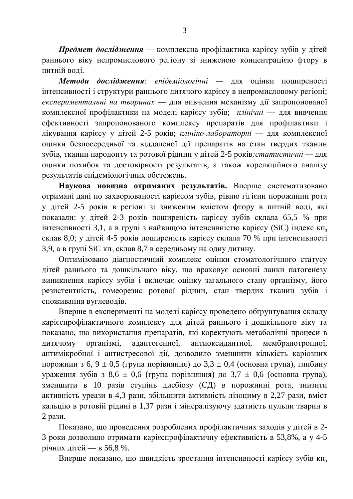**Предмет дослідження** — комплексна профілактика карієсу зубів у дітей раннього віку непромислового регіону зі зниженою концентрацією фтору в питній волі.

Методи дослідження: епідеміологічні — для оцінки поширеності інтенсивності і структури раннього дитячого карієсу в непромисловому регіоні; експериментальні на тваринах — для вивчення механізму дії запропонованої комплексної профілактики на моделі карієсу зубів; клінічні — для вивчення ефективності запропонованого комплексу препаратів для профілактики і лікування карієсу у дітей 2-5 років; *клініко-лабораторні* — для комплексної оцінки безпосередньої та віддаленої дії препаратів на стан твердих тканин зубів, тканин пародонту та ротової рідини у дітей 2-5 років; *статистичні* — для оцінки похибок та достовірності результатів, а також кореляційного аналізу результатів епідеміологічних обстежень.

Наукова новизна отриманих результатів. Вперше систематизовано отримані дані по захворюваності карієсом зубів, рівню гігієни порожнини рота у дітей 2-5 років в регіоні зі зниженим вмістом фтору в питній воді, які показали: у дітей 2-3 років поширеність карієсу зубів склала 65,5 % при інтенсивності 3,1, а в групі з найвищою інтенсивністю карієсу (SiC) індекс кп<sub>з</sub> склав 8,0; у дітей 4-5 років поширеність карієсу склала 70 % при інтенсивності 3,9, а в групі SiC кп<sub>з</sub> склав 8,7 в середньому на одну дитину.

Оптимізовано діагностичний комплекс оцінки стоматологічного статусу дітей раннього та дошкільного віку, що враховує основні ланки патогенезу виникнення карієсу зубів і включає оцінку загального стану організму, його резистентність, гомеорезис ротової рідини, стан твердих тканин зубів і споживання вуглеводів.

Вперше в експерименті на моделі карієсу проведено обґрунтування складу карієспрофілактичного комплексу для дітей раннього і дошкільного віку та показано, що використання препаратів, які коректують метаболічні процеси в дитячому організмі, адаптогенної, антиоксидантної, мембранотропної, антимікробної і антистресової дії, дозволило зменшити кількість каріозних порожнин з 6, 9 ± 0,5 (група порівняння) до 3,3 ± 0,4 (основна група), глибину ураження зубів з 8,6  $\pm$  0,6 (група порівняння) до 3,7  $\pm$  0,6 (основна група), зменшити в 10 разів ступінь дисбіозу (СД) в порожнині рота, знизити активність уреази в 4,3 рази, збільшити активність лізоциму в 2,27 рази, вміст кальцію в ротовій рідині в 1,37 рази і мінералізуючу здатність пульпи тварин в 2 рази.

Показано, що проведення розроблених профілактичних заходів у дітей в 2-3 роки дозволило отримати карієспрофілактичну ефективність в 53,8%, а у 4-5 річних дітей — в 56,8 %.

Вперше показано, що швидкість зростання інтенсивності карієсу зубів кп<sub>з</sub>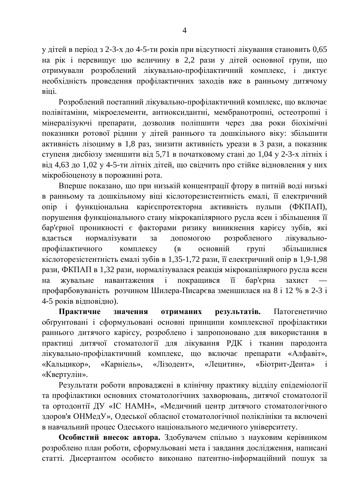у дітей в період з 2-3-х до 4-5-ти років при відсутності лікування становить 0,65 на рік і перевищує цю величину в 2,2 рази у дітей основної групи, що отримували розроблений лікувально-профілактичний комплекс, і диктує необхідність проведення профілактичних заходів вже в ранньому дитячому віші.

Розроблений поетапний лікувально-профілактичний комплекс, що включає полівітаміни, мікроелементи, антиоксидантні, мембранотропні, остеотропні і мінералізуючі препарати, дозволив поліпшити через два роки біохімічні показники ротової рідини у дітей раннього та дошкільного віку: збільшити активність лізоциму в 1,8 раз, знизити активність уреази в 3 рази, а показник ступеня дисбіозу зменшити від 5,71 в початковому стані до 1,04 у 2-3-х літніх і від 4,63 до 1,02 у 4-5-ти літніх дітей, що свідчить про стійке відновлення у них мікробіоценозу в порожнині рота.

Вперше показано, що при низькій концентрації фтору в питній воді низькі в ранньому та дошкільному віці кіслоторезистентність емалі, її електричний опір і функціональна карієспротекторна активність пульпи (ФКПАП), порушення функціонального стану мікрокапілярного русла ясен і збільшення її бар'єрної проникності є факторами ризику виникнення карієсу зубів, які вдається нормалізувати за допомогою розробленого лікувальнопрофілактичного комплексу (в основній групі збільшилися кіслоторезістентність емалі зубів в 1,35-1,72 рази, її електричний опір в 1,9-1,98 рази, ФКПАП в 1,32 рази, нормалізувалася реакція мікрокапілярного русла ясен на жувальне навантаження і покращився її бар'єрна захист профарбовуваність розчином Шилера-Писарєва зменшилася на 8 і 12 % в 2-3 і 4-5 років відповідно).

Практичне значення отриманих результатів. Патогенетично обтрунтовані і сформульовані основні принципи комплексної профілактики раннього дитячого карієсу, розроблено і запропоновано для використання в практиці дитячої стоматології для лікування РДК і тканин пародонта лікувально-профілактичний комплекс, що включає препарати «Алфавіт», «Кальцикор», «Карніель», «Лізодент», «Лецитин», «Біотрит-Дента» і «Квертулін».

Результати роботи впроваджені в клінічну практику відділу епідеміології та профілактики основних стоматологічних захворювань, дитячої стоматології та ортодонтії ДУ «ІС НАМН», «Медичний центр дитячого стоматологічного здоров'я ОНМедУ», Одеської обласної стоматологічної поліклініки та включені в навчальний процес Одеського національного медичного університету.

Особистий внесок автора. Здобувачем спільно з науковим керівником розроблено план роботи, сформульовані мета і завдання дослідження, написані статті. Дисертантом особисто виконано патентно-інформаційний пошук за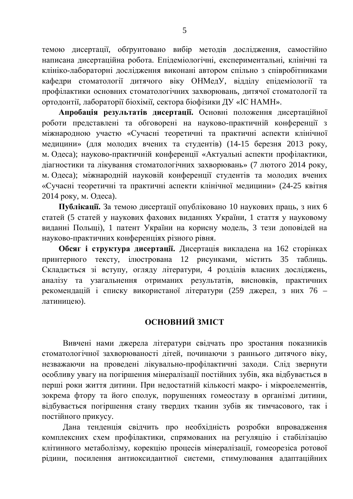темою дисертації, обґрунтовано вибір методів дослідження, самостійно написана дисертаційна робота. Епідеміологічні, експериментальні, клінічні та клініко-лабораторні дослідження виконані автором спільно з співробітниками кафедри стоматології дитячого віку ОНМедУ, відділу епідеміології та профілактики основних стоматологічних захворювань, дитячої стоматології та ортодонтії, лабораторії біохімії, сектора біофізики ДУ «ІС НАМН».

Апробація результатів дисертації. Основні положення дисертаційної роботи представлені та обговорені на науково-практичній конференції з міжнародною участю «Сучасні теоретичні та практичні аспекти клінічної медицини» (для молодих вчених та студентів) (14-15 березня 2013 року, м. Одеса); науково-практичній конференції «Актуальні аспекти профілактики, діагностики та лікування стоматологічних захворювань» (7 лютого 2014 року, м. Одеса); міжнародній науковій конференції студентів та молодих вчених «Сучасні теоретичні та практичні аспекти клінічної медицини» (24-25 квітня 2014 року, м. Одеса).

Публікації. За темою дисертації опубліковано 10 наукових праць, з них 6 статей (5 статей у наукових фахових виданнях України, 1 стаття у науковому виданні Польщі), 1 патент України на корисну модель, 3 тези доповідей на науково-практичних конференціях різного рівня.

Обсяг і структура дисертації. Дисертація викладена на 162 сторінках принтерного тексту, ілюстрована 12 рисунками, містить 35 таблиць. Складається зі вступу, огляду літератури, 4 розділів власних досліджень, аналізу та узагальнення отриманих результатів, висновків, практичних рекомендацій і списку використаної літератури (259 джерел, з них 76 – латиницею).

# **ОСНОВНИЙ ЗМІСТ**

Вивчені нами джерела літератури свідчать про зростання показників стоматологічної захворюваності дітей, починаючи з раннього дитячого віку, незважаючи на проведені лікувально-профілактичні заходи. Слід звернути особливу увагу на погіршення мінералізації постійних зубів, яка відбувається в перші роки життя дитини. При недостатній кількості макро- і мікроелементів, зокрема фтору та його сполук, порушеннях гомеостазу в організмі дитини, відбувається погіршення стану твердих тканин зубів як тимчасового, так і постійного прикусу.

Дана тенденція свідчить про необхідність розробки впровадження комплексних схем профілактики, спрямованих на регуляцію і стабілізацію клітинного метаболізму, корекцію процесів мінералізації, гомеорезіса ротової рідини, посилення антиоксидантної системи, стимулювання адаптаційних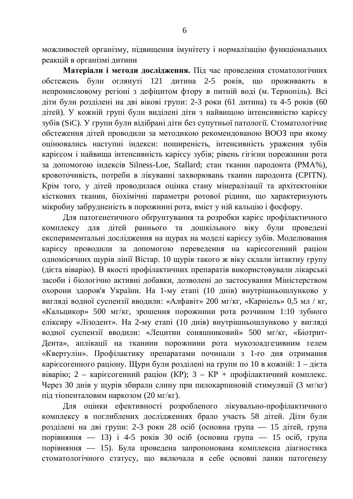можливостей організму, підвищення імунітету і нормалізацію функціональних реакцій в організмі дитини

Матеріали і методи дослідження. Під час проведення стоматологічних обстежень були оглянуті 121 дитина 2-5 років, що проживають в непромисловому регіоні з дефіцитом фтору в питній воді (м. Тернопіль). Всі діти були розділені на дві вікові групи: 2-3 роки (61 дитина) та 4-5 років (60 дітей). У кожній групі були виділені діти з найвищою інтенсивністю карієсу зубів (SiC). У групи були відібрані діти без супутньої патології. Стоматологічне обстеження дітей проводили за методикою рекомендованою ВООЗ при якому оцінювались наступні індекси: поширеність, інтенсивність ураження зубів карієсом і найвища інтенсивність карієсу зубів; рівень гігієни порожнини рота за допомогою індексів Silness-Loe, Stallard; стан тканин пародонта (PMA%), кровоточивість, потреби в лікуванні захворювань тканин пародонта (CPITN). Крім того, у дітей проводилася оцінка стану мінералізації та архітектоніки кісткових тканин, біохімічні параметри ротової рідини, що характеризують мікробну забрудненість в порожнині рота, вміст у ній кальцію і фосфору.

Для патогенетичного обгрунтування та розробки карієс профілактичного комплексу для дітей раннього та дошкільного віку були проведені експериментальні дослідження на щурах на моделі карієсу зубів. Моделювання карієсу проводили за допомогою переведення на карієсогенний раціон одномісячних щурів лінії Вістар. 10 щурів такого ж віку склали інтактну групу (дієта віварію). В якості профілактичних препаратів використовували лікарські засоби і біологічно активні добавки, дозволені до застосування Міністерством охорони здоров'я України. На 1-му етапі (10 днів) внутрішньошлунково у вигляді водної суспензії вводили: «Алфавіт» 200 мг/кг, «Карніель» 0,5 мл / кг, «Кальцикор» 500 мг/кг, зрошення порожнини рота розчином 1:10 зубного еліксиру «Лізодент». На 2-му етапі (10 днів) внутрішньошлунково у вигляді водної суспензії вводили: «Лецитин соняшниковий» 500 мг/кг, «Біотрит-Дента», аплікації на тканини порожнини рота мукозоадгезивним гелем «Квертулін». Профілактику препаратами починали з 1-го дня отримання каріє согенного раціону. Щури були розділені на групи по 10 в кожній: 1 – дієта віварію; 2 – карієсогенний раціон (КР); 3 – КР + профілактичний комплекс. Через 30 днів у щурів збирали слину при пилокарпиновій стимуляції (3 мг/кг) під тіопенталовим наркозом (20 мг/кг).

Для оцінки ефективності розробленого лікувально-профілактичного комплексу в поглиблених дослідженнях брало участь 58 дітей. Діти були розділені на дві групи: 2-3 роки 28 осіб (основна група — 15 дітей, група порівняння — 13) і 4-5 років 30 осіб (основна група — 15 осіб, група порівняння — 15). Була проведена запропонована комплексна діагностика стоматологічного статусу, що включала в себе основні ланки патогенезу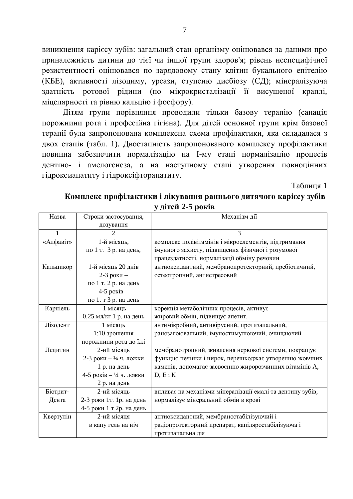виникнення карієсу зубів: загальний стан організму оцінювався за даними про приналежність дитини до тієї чи іншої групи здоров'я; рівень неспецифічної резистентності оцінювався по зарядовому стану клітин букального епітелію (КБЕ), активності лізоциму, уреази, ступеню дисбіозу (СД); мінералізуюча здатність ротової рідини (по мікрокристалізації її висушеної краплі, міцелярності та рівню кальцію і фосфору).

Дітям групи порівняння проводили тільки базову терапію (санація порожнини рота і професійна гігієна). Для дітей основної групи крім базової терапії була запропонована комплексна схема профілактики, яка складалася з двох етапів (табл. 1). Двоетапність запропонованого комплексу профілактики повинна забезпечити нормалізацію на І-му етапі нормалізацію процесів дентіно- і амелогенеза, а на наступному етапі утворення повноцінних гідроксиапатиту і гідроксіфторапатиту.

Таблиця 1

| Назва     | Строки застосування,              | Механізм дії                                               |
|-----------|-----------------------------------|------------------------------------------------------------|
|           | дозування                         |                                                            |
| 1         | $\mathcal{D}_{\cdot}$             | 3                                                          |
| «Алфавіт» | 1-й місяць,                       | комплекс полівітамінів і мікроелементів, підтримання       |
|           | по 1 т. 3 р. на день,             | імунного захисту, підвищення фізичної і розумової          |
|           |                                   | працездатності, нормалізації обміну речовин                |
| Кальцикор | 1-й місяць 20 днів                | антиоксидантний, мембранопротекторний, пребіотичний,       |
|           | 2-3 роки $-$                      | остеотропний, антистресовий                                |
|           | по 1 т. 2 р. на день              |                                                            |
|           | 4-5 років -                       |                                                            |
|           | по 1. т 3 р. на день              |                                                            |
| Карніель  | 1 місяць                          | корекція метаболічних процесів, активує                    |
|           | 0,25 мл/кг 1 р. на день           | жировий обмін, підвищує апетит.                            |
| Лізодент  | 1 місяць                          | антимікробний, антивірусний, протизапальний,               |
|           | 1:10 зрошення                     | ранозагоювальний, імуностимулюючий, очищаючий              |
|           | порожнини рота до їжі             |                                                            |
| Лецитин   | 2-ий місяць                       | мембранотропний, живлення нервової системи, покращує       |
|           | 2-3 роки – $\frac{1}{4}$ ч. ложки | функцію печінки і нирок, перешкоджає утворенню жовчних     |
|           | 1 р. на день                      | каменів, допомагає засвоєнню жиророзчинних вітамінів А,    |
|           | 4-5 років – 1/4 ч. ложки          | $D, E$ i K                                                 |
|           | 2 р. на день                      |                                                            |
| Біотрит-  | 2-ий місяць                       | впливає на механізми мінералізації емалі та дентину зубів, |
| Дента     | 2-3 роки 1т. 1р. на день          | нормалізує мінеральний обмін в крові                       |
|           | 4-5 роки 1 т 2р. на день          |                                                            |
| Квертулін | 2-ий місяця                       | антиоксидантний, мембраностабілізуючий і                   |
|           | в капу гель на ніч                | радіопротекторний препарат, капіляростабілізуюча і         |
|           |                                   | протизапальна дія                                          |

Комплекс профілактики і лікування раннього дитячого карієсу зубів **у** дітей 2-5 років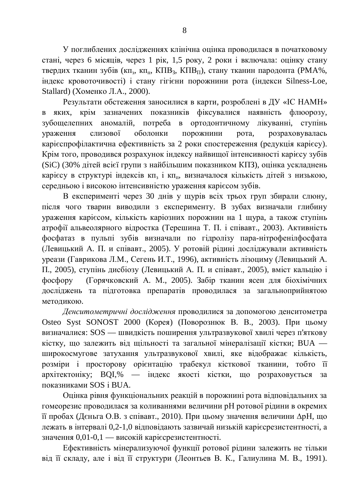У поглиблених дослідженнях клінічна оцінка проводилася в початковому стані, через 6 місяців, через 1 рік, 1,5 року, 2 роки і включала: оцінку стану твердих тканин зубів (кп<sub>з</sub>, кп<sub>п</sub>, КПВ<sub>з</sub>, КПВ<sub>П</sub>), стану тканин пародонта (РМА%, iндекс кровоточивостi) i стану гiгiєни порожнини рота (iндекси Silness-Loe, Stallard) (Хоменко Л.А., 2000).

Результати обстеження заносилися в карти, розроблені в ДУ «ІС НАМН» в яких, крім зазначених показників фіксувалися наявність флюорозу, зубощелепних аномалій, потреба в ортодонтичному лікуванні, ступінь үраження слизової оболонки порожнини рота, розраховувалась карієспрофілактична ефективність за 2 роки спостереження (редукція карієсу). Крім того, проводився розрахунок індексу найвищої інтенсивності карієсу зубів (SiC) (30% дітей всієї групи з найбільшим показником КПЗ), оцінка ускладнень карієсу в структурі індексів кп<sub>з</sub> і кп<sub>п</sub>, визначалося кількість дітей з низькою, середньою і високою інтенсивністю ураження карієсом зубів.

В експерименті через 30 днів у щурів всіх трьох груп збирали слюну, після чого тварин виводили з експерименту. В зубах визначали глибину ураження карієсом, кількість каріозних порожнин на 1 щура, а також ступінь атрофії альвеолярного відростка (Терешина Т. П. і співавт., 2003). Активність фосфатаз в пульпі зубів визначали по гідролізу пара-нітрофенілфосфата (Левицький А. П. и співавт., 2005). У ротовій рідині досліджували активність уреази (Гаврикова Л.М., Сегень И.Т., 1996), активність лізоциму (Левицький А. П., 2005), ступінь дисбіозу (Левицький А. П. и співавт., 2005), вміст кальцію і фосфору (Горячковский А. М., 2005). Забір тканин ясен для біохімічних досліджень та підготовка препаратів проводилася за загальноприйнятою методикою.

Денситометричні дослідження проводилися за допомогою денситометра Osteo Syst SONOST 2000 (Корея) (Поворознюк В. В., 2003). При цьому визначалися: SOS — швидкість поширення ультразвукової хвилі через п'яткову кістку, що залежить від щільності та загальної мінералізації кістки; BUA широкосмугове затухання ультразвукової хвилі, яке відображає кількість, розміри і просторову орієнтацію трабекул кісткової тканини, тобто її архітектоніку; BQI,% — індекс якості кістки, що розраховується за показниками SOS і BUA.

Оцінка рівня функціональних реакцій в порожнині рота відповідальних за гомеорезис проводилася за коливаннями величини рН ротової рідини в окремих її пробах (Дєньга О.В. з співавт., 2010). При цьому значення величини ДрН, що дежать в інтервалі 0,2-1,0 відповідають зазвичай низькій каріє срезистентності, а значення 0,01-0,1 — високій каріє срезистентності.

Ефективність мінерализуючої функції ротової рідини залежить не тільки від її складу, але і від її структури (Леонтьев В. К., Галиулина М. В., 1991).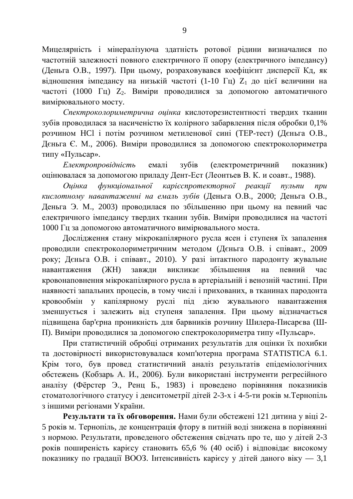Мицелярність і мінералізуюча здатність ротової рідини визначалися по частотній залежності повного електричного її опору (електричного імпедансу) (Деньга О.В., 1997). При цьому, розраховувався коефіцієнт дисперсії Кд, як відношення імпедансу на низькій частоті (1-10 Гц) Z<sub>1</sub> до цієї величини на частоті (1000 Гц)  $Z_2$ . Виміри проводилися за допомогою автоматичного вимірювального мосту.

Спектроколориметрична оцінка кислоторезистентності твердих тканин зубів проводилася за насиченістю їх колірного забарвлення після обробки 0,1% розчином HCl і потім розчином метиленової сині (ТЕР-тест) (Дєньга О.В., Дєньга Є. М., 2006). Виміри проводилися за допомогою спектроколориметра типу «Пульсар».

*Eлектропровідність* емалі зубів (електрометричний показник) оцінювалася за допомогою приладу Дент-Ест (Леонтьев В. К. и соавт., 1988).

Оцінка функціональної карієспротекторної реакції пульпи при кислотному навантаженні на емаль зубів (Деньга О.В., 2000; Деньга О.В., Деньга Э. М., 2003) проводилася по збільшенню при цьому на певний час електричного імпедансу твердих тканин зубів. Виміри проводилися на частоті 1000 Гц за допомогою автоматичного вимірювального моста.

Дослідження стану мікрокапілярного русла ясен і ступеня їх запалення проводили спектроколориметричним методом (Дєньга О.В. і співавт., 2009 року; Дєньга О.В. і співавт., 2010). У разі інтактного пародонту жувальне навантаження (ЖН) завжли викликає збільшення на певний час кровонаповнення мікрокапілярного русла в артеріальній і венозній частині. При наявності запальних процесів, в тому числі і прихованих, в тканинах пародонта кровообмін у капілярному руслі під дією жувального навантаження зменшується і залежить від ступеня запалення. При цьому відзначається підвищена бар'єрна проникність для барвників розчину Шилера-Писарєва (Ш-П). Виміри проводилися за допомогою спектроколориметра типу «Пульсар».

При статистичній обробці отриманих результатів для оцінки їх похибки та достовірності використовувалася комп'ютерна програма STATISTICA 6.1. Крім того, був провед статистичний аналіз результатів епідеміологічних обстежень (Кобзарь А. И., 2006). Були використані інструменти регресійного аналізу (Фёрстер Э., Ренц Б., 1983) і проведено порівняння показників стоматологічного статусу і денситометрії дітей 2-3-х і 4-5-ти років м. Тернопіль з іншими регіонами України.

Результати та їх обговорення. Нами були обстежені 121 дитина у віці 2-5 років м. Тернопіль, де концентрація фтору в питній воді знижена в порівнянні з нормою. Результати, проведеного обстеження свідчать про те, що у дітей 2-3 років поширеність карієсу становить 65,6 % (40 осіб) і відповідає високому показнику по градації ВООЗ. Інтенсивність карієсу у дітей даного віку — 3,1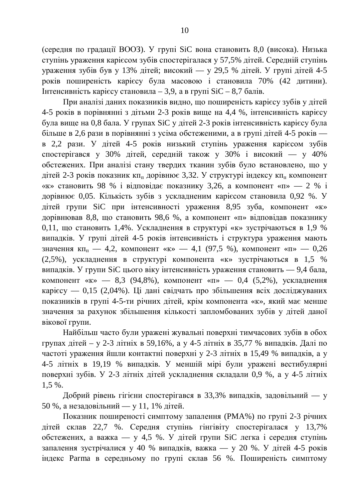(середня по градації ВООЗ). У групі SiC вона становить 8,0 (висока). Низька ступінь ураження карієсом зубів спостерігалася у 57,5% дітей. Середній ступінь ураження зубів був у 13% дітей; високий — у 29,5 % дітей. У групі дітей 4-5 років поширеність карієсу була масовою і становила 70% (42 дитини). Iнтенсивність карієсу становила – 3,9, а в групі SiC – 8,7 балів.

При аналізі даних показників видно, що поширеність карієсу зубів у дітей 4-5 років в порівнянні з дітьми 2-3 років вище на 4,4 %, інтенсивність карієсу була вище на 0,8 бала. У групах SiC у дітей 2-3 років інтенсивність карієсу була більше в 2,6 рази в порівнянні з усіма обстеженими, а в групі дітей 4-5 років в 2,2 рази. У дітей 4-5 років низький ступінь ураження карієсом зубів спостерігався у 30% дітей, середній також у 30% і високий — у 40% обстежених. При аналізі стану твердих тканин зубів було встановлено, що у дітей 2-3 років показник кп<sub>п</sub> дорівнює 3,32. У структурі індексу кп<sub>п</sub> компонент «к» становить 98 % і відповідає показнику 3,26, а компонент «п» — 2 % і дорівнює 0,05. Кількість зубів з ускладненим карієсом становила 0,92 %. У дітей групи SiC при інтенсивності ураження 8,95 зуба, компонент «к» дорівнював 8,8, що становить 98,6 %, а компонент «п» відповідав показнику 0,11, що становить 1,4%. Ускладнення в структурі «к» зустрічаються в 1,9 % випадків. У групі дітей 4-5 років інтенсивність і структура ураження мають значення кп<sub>п</sub> — 4,2, компонент «к» — 4,1 (97,5 %), компонент «п» — 0,26 (2,5%), ускладнення в структурі компонента «к» зустрічаються в 1,5 % випадків. У групи SiC цього віку інтенсивність ураження становить — 9,4 бала, компонент «к» — 8,3 (94,8%), компонент «п» — 0,4 (5,2%), ускладнення карієсу — 0,15 (2,04%). Ці дані свідчать про збільшення всіх досліджуваних показників в групі 4-5-ти річних дітей, крім компонента «к», який має менше значення за рахунок збільшення кількості запломбованих зубів у дітей даної вікової групи.

Найбільш часто були уражені жувальні поверхні тимчасових зубів в обох групах дітей – у 2-3 літніх в 59,16%, а у 4-5 літніх в 35,77 % випадків. Далі по частоті ураження йшли контактні поверхні у 2-3 літніх в 15,49 % випадків, а у 4-5 літніх в 19,19 % випадків. У меншій мірі були уражені вестибулярні поверхні зубів. У 2-3 літніх дітей ускладнення складали 0,9 %, а у 4-5 літніх 1,5 %.

Добрий рівень гігієни спостерігався в 33,3% випадків, задовільний — у 50 %, а незадовільний — у 11, 1% дітей.

Показник поширеності симптому запалення (РМА%) по групі 2-3 річних дітей склав 22,7 %. Середня ступінь гінгівіту спостерігалася у 13,7% обстежених, а важка — у 4,5 %. У дітей групи SiC легка і середня ступінь запалення зустрічалися у 40 % випадків, важка — у 20 %. У дітей 4-5 років індекс Parma в середньому по групі склав 56 %. Поширеність симптому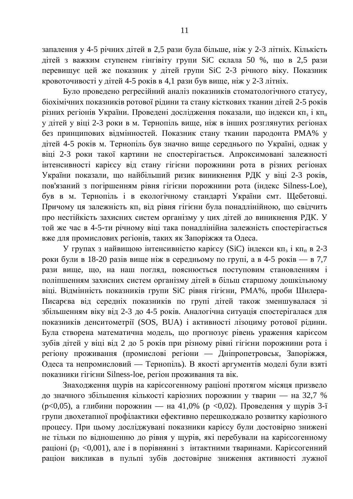запалення у 4-5 річних дітей в 2,5 рази була більше, ніж у 2-3 літніх. Кількість дітей з важким ступенем гінгівіту групи SiC склала 50 %, що в 2,5 рази перевищує цей же показник у дітей групи SiC 2-3 річного віку. Показник кровоточивості у дітей 4-5 років в 4,1 рази був вище, ніж у 2-3 літніх.

Було проведено регресійний аналіз показників стоматологічного статусу, біохімічних показників ротової рідини та стану кісткових тканин дітей 2-5 років різних регіонів України. Проведені дослідження показали, що індекси кп<sub>з</sub> і кп<sub>п</sub> у дітей у віці 2-3 роки в м. Тернопіль вище, ніж в інших розглянутих регіонах без принципових відмінностей. Показник стану тканин пародонта РМА% у дітей 4-5 років м. Тернопіль був значно вище середнього по Україні, однак у віці 2-3 роки такої картини не спостерігається. Апроксимовані залежності інтенсивності карієсу від стану гігієни порожнини рота в різних регіонах України показали, що найбільший ризик виникнення РДК у віці 2-3 років, пов'язаний з погіршенням рівня гігієни порожнини рота (індекс Silness-Loe), був в м. Тернопіль і в екологічному стандарті України смт. Щебетовці. Причому ця залежність кп<sub>з</sub> від рівня гігієни була понадлінійною, що свідчить про нестійкість захисних систем організму у цих дітей до виникнення РДК. У той же час в 4-5-ти річному віці така понадлінійна залежність спостерігається вже для промислових регіонів, таких як Запоріжжя та Одеса.

У групах з найвищою інтенсивністю карієсу (SiC) індекси кп<sub>з</sub> і кп<sub>п</sub> в 2-3 роки були в 18-20 разів вище ніж в середньому по групі, а в 4-5 років — в 7,7 рази вище, що, на наш погляд, пояснюється поступовим становленням і поліпшенням захисних систем організму дітей в більш старшому дошкільному віці. Відмінність показників групи SiC рівня гігієни, РМА%, проби Шилера-Писарєва від середніх показників по групі дітей також зменшувалася зі збільшенням віку від 2-3 до 4-5 років. Аналогічна ситуація спостерігалася для показників денситометрії (SOS, BUA) і активності лізоциму ротової рідини. Була створена математична модель, що прогнозує рівень ураження карієсом зубів дітей у віці від 2 до 5 років при різному рівні гігієни порожнини рота і регіону проживання (промислові регіони — Дніпропетровськ, Запоріжжя, Одеса та непромисловий — Тернопіль). В якості аргументів моделі були взяті показники гігієни Silness-loe, регіон проживання та вік.

Знаходження щурів на каріє согенному раціоні протягом місяця призвело до значного збільшення кількості каріозних порожнин у тварин — на 32,7 %  $(p<0,05)$ , а глибини порожнин — на 41,0% (р <0,02). Проведення у щурів 3-ї групи двохетапної профілактики ефективно перешкоджало розвитку каріозного процесу. При цьому досліджувані показники карієсу були достовірно знижені не тільки по відношенню до рівня у щурів, які перебували на карієсогенному раціоні (р<sub>1</sub> <0,001), але і в порівнянні з інтактними тваринами. Каріє согенний раціон викликав в пульпі зубів достовірне зниження активності лужної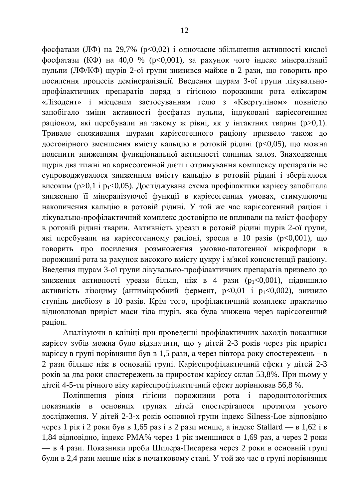фосфатази (ЛФ) на 29,7% (p<0,02) і одночасне збільшення активності кислої фосфатази (КФ) на 40,0 % (p<0,001), за рахунок чого індекс мінералізації пульпи (ЛФ/КФ) щурів 2-ої групи знизився майже в 2 рази, що говорить про посилення процесів демінералізації. Введення щурам 3-ої групи лікувальнопрофілактичних препаратів поряд з гігієною порожнини рота еліксиром «Лізодент» і місцевим застосуванням гелю з «Квертуліном» повністю запобігало зміни активності фосфатаз пульпи, індуковані каріесогенним раціоном, які перебували на такому ж рівні, як у інтактних тварин (р>0,1). Тривале споживання щурами карієсогенного раціону призвело також до достовірного зменшення вмісту кальцію в ротовій рідині (р<0,05), що можна пояснити зниженням функціональної активності слинних залоз. Знаходження щурів два тижні на кариесогенной дієті і отримування комплексу препаратів не супроводжувалося зниженням вмісту кальцію в ротовій рідині і зберігалося високим ( $p>0,1$  і  $p_1<0,05$ ). Досліджувана схема профілактики карієсу запобігала зниженню її мінералізуючої функції в карієсогенних умовах, стимулюючи накопичення кальцію в ротовій рідині. У той же час карієсогенний раціон і лікувально-профілактичний комплекс достовірно не впливали на вміст фосфору в ротовій рідині тварин. Активність уреази в ротовій рідині щурів 2-ої групи, які перебували на каріє согенному раціоні, зросла в 10 разів (р<0,001), що говорить про посилення розмноження умовно-патогенної мікрофлори в порожнині рота за рахунок високого вмісту цукру і м'якої консистенції раціону. Введення щурам 3-ої групи лікувально-профілактичних препаратів призвело до зниження активності уреази більш, ніж в 4 рази ( $p_1 < 0.001$ ), підвищило активність лізоциму (антимікробний фермент,  $p<0,01$  і  $p_1<0,002$ ), знизило ступінь дисбіозу в 10 разів. Крім того, профілактичний комплекс практично відновлював приріст маси тіла щурів, яка була знижена через карієсогенний раціон.

Аналізуючи в клініці при проведенні профілактичних заходів показники карієсу зубів можна було відзначити, що у дітей 2-3 років через рік приріст карієсу в групі порівняння був в 1,5 рази, а через півтора року спостережень – в 2 рази більше ніж в основній групі. Карієспрофілактичний ефект у дітей 2-3 років за два роки спостережень за приростом карієсу склав 53,8%. При цьому у дітей 4-5-ти річного віку карієспрофілактичний ефект дорівнював 56,8 %.

Поліпшення рівня гігієни порожнини рота і пародонтологічних показників в основних групах дітей спостерігалося протягом усього дослідження. У дітей 2-3-х років основної групи індекс Silness-Loe відповідно через 1 рік і 2 роки був в 1,65 раз і в 2 рази менше, а індекс Stallard — в 1,62 і в 1,84 відповідно, індекс РМА% через 1 рік зменшився в 1,69 раз, а через 2 роки — в 4 рази. Показники проби Шилера-Писарєва через 2 роки в основній групі були в 2,4 рази менше ніж в початковому стані. У той же час в групі порівняння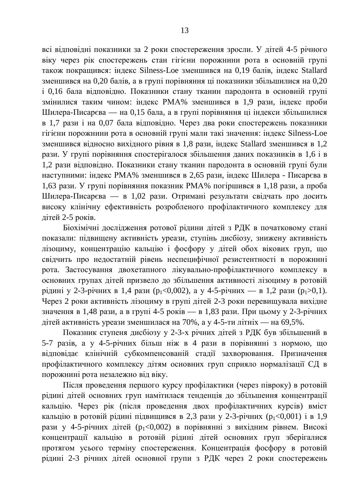всі відповідні показники за 2 роки спостереження зросли. У дітей 4-5 річного віку через рік спостережень стан гігієни порожнини рота в основній групі також покращився: індекс Silness-Loe зменшився на 0,19 балів, індекс Stallard зменшився на 0,20 балів, а в групі порівняння ці показники збільшилися на 0,20 і 0,16 бала відповідно. Показники стану тканин пародонта в основній групі змінилися таким чином: індекс РМА% зменшився в 1,9 рази, індекс проби Шилера-Писарєва — на 0,15 бала, а в групі порівняння ці індекси збільшилися в 1,7 рази і на 0,07 бала відповідно. Через два роки спостережень показники гігієни порожнини рота в основній групі мали такі значення: індекс Silness-Loe зменшився відносно вихідного рівня в 1,8 рази, індекс Stallard зменшився в 1,2 рази. У групі порівняння спостерігалося збільшення даних показників в 1,6 і в 1,2 рази відповідно. Показники стану тканин пародонта в основній групі були наступними: індекс РМА% зменшився в 2,65 рази, індекс Шилера - Писарєва в 1,63 рази. У групі порівняння показник РМА% погіршився в 1,18 рази, а проба Шилера-Писарєва — в 1,02 рази. Отримані результати свідчать про досить високу клінічну ефективність розробленого профілактичного комплексу для  $\overline{\text{I}}$ итей 2-5 років.

Біохімічні дослідження ротової рідини дітей з РДК в початковому стані показали: підвищену активність уреази, ступінь дисбіозу, знижену активність лізоциму, концентрацію кальцію і фосфору у дітей обох вікових груп, що свідчить про недостатній рівень неспецифічної резистентності в порожнині рота. Застосування двохетапного лікувально-профілактичного комплексу в основних групах дітей призвело до збільшення активності лізоциму в ротовій рідині у 2-3-річних в 1,4 рази (р<sub>1</sub><0,002), а у 4-5-річних — в 1,2 рази (р<sub>1</sub>>0,1). Через 2 роки активність лізоциму в групі дітей 2-3 роки перевищувала вихідне значення в 1,48 рази, а в групі 4-5 років — в 1,83 рази. При цьому у 2-3-річних дітей активність уреази зменшилася на 70%, а у 4-5-ти літніх — на 69,5%.

Показник ступеня дисбіозу у 2-3-х річних дітей з РДК був збільшений в 5-7 разів, а у 4-5-річних більш ніж в 4 рази в порівнянні з нормою, що відповідає клінічній субкомпенсованій стадії захворювання. Призначення профілактичного комплексу дітям основних груп сприяло нормалізації СД в порожнині рота незалежно від віку.

Після проведення першого курсу профілактики (через півроку) в ротовій рідині дітей основних груп намітилася тенденція до збільшення концентрації кальцію. Через рік (після проведення двох профілактичних курсів) вміст кальцію в ротовій рідині підвищився в 2,3 рази у 2-3-річних ( $p_1 < 0.001$ ) і в 1,9 рази у 4-5-річних дітей (р<sub>1</sub><0,002) в порівнянні з вихідним рівнем. Високі концентрації кальцію в ротовій рідині дітей основних груп зберігалися протягом усього терміну спостереження. Концентрація фосфору в ротовій рідині 2-3 річних дітей основної групи з РДК через 2 роки спостережень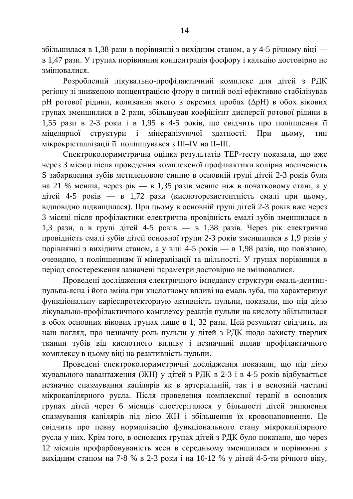збільшилася в 1,38 рази в порівнянні з вихідним станом, а у 4-5 річному віці в 1,47 рази. У групах порівняння концентрація фосфору і кальцію достовірно не змінювалися.

Розроблений лікувально-профілактичний комплекс для дітей з РДК регіону зі зниженою концентрацією фтору в питній воді ефективно стабілізував рН ротової рідини, коливання якого в окремих пробах ( $\Delta$ рН) в обох вікових групах зменшилися в 2 рази, збільшував коефіцієнт дисперсії ротової рідини в 1,55 рази в 2-3 роки і в 1,95 в 4-5 років, що свідчить про поліпшення її міцелярної структури і мінералізуючої здатності. При цьому, тип мікрокрісталлізаціі її поліпшувався з III–IV на II–III.

Спектроколориметрична оцінка результатів ТЕР-тесту показала, що вже через 3 місяці після проведення комплексної профілактики колірна насиченість S забарвлення зубів метиленовою синню в основній групі дітей 2-3 років була на 21 % менша, через рік — в 1,35 разів менше ніж в початковому стані, а у дітей 4-5 років — в 1,72 рази (кислоторезистентність емалі при цьому, відповідно підвищилася). При цьому в основній групі дітей 2-3 років вже через 3 місяці після профілактики електрична провідність емалі зубів зменшилася в 1,3 рази, а в групі дітей 4-5 років — в 1,38 разів. Через рік електрична провідність емалі зубів дітей основної групи 2-3 років зменшилася в 1,9 разів у порівнянні з вихідним станом, а у віці 4-5 років — в 1,98 разів, що пов'язано, очевидно, з поліпшенням її мінералізації та щільності. У групах порівняння в період спостереження зазначені параметри достовірно не змінювалися.

Проведені дослідження електричного імпедансу структури емаль-дентинпульпа-ясна і його зміна при кислотному впливі на емаль зуба, що характеризує функціональну каріеспротекторную активність пульпи, показали, що під дією лікувально-профілактичного комплексу реакція пульпи на кислоту збільшилася в обох основних вікових групах лише в 1, 32 рази. Цей результат свідчить, на наш погляд, про незначну роль пульпи у дітей з РДК щодо захисту твердих тканин зубів від кислотного впливу і незначний вплив профілактичного комплексу в цьому віці на реактивність пульпи.

Проведені спектроколориметричні дослідження показали, що під дією жувального навантаження (ЖН) у дітей з РДК в 2-3 і в 4-5 років відбувається незначне спазмування капілярів як в артеріальній, так і в венозній частині мікрокапілярного русла. Після проведення комплексної терапії в основних групах дітей через 6 місяців спостерігалося у більшості дітей зникнення спазмування капілярів під дією ЖН і збільшення їх кровонаповнення. Це свідчить про певну нормалізацію функціонального стану мікрокапілярного русла у них. Крім того, в основних групах дітей з РДК було показано, що через 12 місяців профарбовуваність ясен в середньому зменшилася в порівнянні з вихідним станом на 7-8 % в 2-3 роки і на 10-12 % у дітей 4-5-ти річного віку,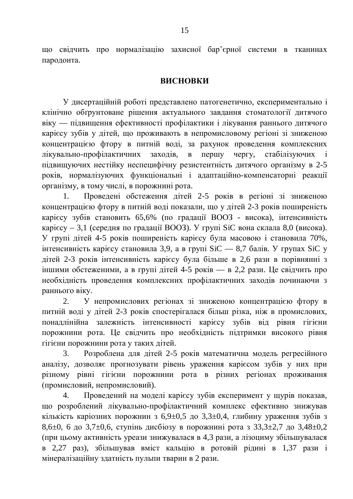що свідчить про нормалізацію захисної бар'єрної системи в тканинах пародонта.

## **ВИСНОВКИ**

У дисертаційній роботі представлено патогенетично, експериментально і клінічно обґрунтоване рішення актуального завдання стоматології дитячого віку — підвищення ефективності профілактики і лікування раннього дитячого карієсу зубів у дітей, що проживають в непромисловому регіоні зі зниженою концентрацією фтору в питній воді, за рахунок проведення комплексних лікувально-профілактичних заходів, в першу чергу, стабілізуючих підвищуючих нестійку неспецифічну резистентність дитячого організму в 2-5 років, нормалізуючих функціональні і адаптаційно-компенсаторні реакції організму, в тому числі, в порожнині рота.

Проведені обстеження дітей 2-5 років в регіоні зі зниженою концентрацією фтору в питній воді показали, що у дітей 2-3 років поширеність карієсу зубів становить 65,6% (по градації ВООЗ - висока), інтенсивність карієсу – 3,1 (середня по градації ВООЗ). У групі SiC вона склала 8,0 (висока). У групі дітей 4-5 років поширеність карієсу була масовою і становила 70%, інтенсивність карієсу становила 3,9, а в групі  $SiC - 8,7$  балів. У групах SiC у дітей 2-3 років інтенсивність карієсу була більше в 2,6 рази в порівнянні з іншими обстеженими, а в групі дітей 4-5 років — в 2,2 рази. Це свідчить про необхідність проведення комплексних профілактичних заходів починаючи з раннього віку.

2. У непромислових регіонах зі зниженою концентрацією фтору в питній воді у дітей 2-3 років спостерігалася більш різка, ніж в промислових, понадлінійна залежність інтенсивності карієсу зубів від рівня гігієни порожнини рота. Це свідчить про необхідність підтримки високого рівня гігієни порожнини рота у таких дітей.

3. Розроблена для дітей 2-5 років математична модель регресійного аналізу, дозволяє прогнозувати рівень ураження карієсом зубів у них при різному рівні гігієни порожнини рота в різних регіонах проживання (промисловий, непромисловий).

4. Проведений на моделі карієсу зубів експеримент у щурів показав, що розроблений лікувально-профілактичний комплекс ефективно знижував кількість каріозних порожнин з 6,9 $\pm$ 0,5 до 3,3 $\pm$ 0,4, глибину ураження зубів з 8,6 $\pm$ 0, 6 до 3,7 $\pm$ 0,6, ступінь дисбіозу в порожнині рота з 33,3 $\pm$ 2,7 до 3,48 $\pm$ 0,2 дпри цьому активність уреази знижувалася в 4,3 рази, а лізоциму збільшувалася в 2,27 раз), збільшував вміст кальцію в ротовій рідині в 1,37 рази і мінералізаційну здатність пульпи тварин в 2 рази.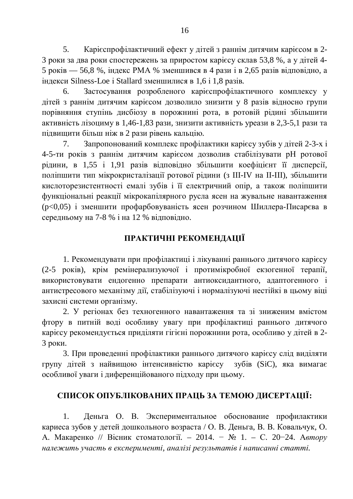5. Карієспрофілактичний ефект у дітей з раннім дитячим карієсом в 2-3 роки за два роки спостережень за приростом карієсу склав 53,8 %, а у дітей 4-5 років — 56,8 %, індекс РМА % зменшився в 4 рази і в 2,65 разів відповідно, а ндекси Silness-Loe i Stallard зменшилися в 1,6 і 1,8 разів.

6. Застосування розробленого карієспрофілактичного комплексу у дітей з раннім дитячим карієсом дозволило знизити у 8 разів відносно групи порівняння ступінь дисбіозу в порожнині рота, в ротовій рідині збільшити активність лізоциму в 1,46-1,83 рази, знизити активність уреази в 2,3-5,1 рази та підвищити більш ніж в 2 рази рівень кальцію.

7. Запропонований комплекс профілактики карієсу зубів у дітей 2-3-х і 4-5-ти років з раннім дитячим карієсом дозволив стабілізувати рН ротової рідини, в 1,55 і 1,91 разів відповідно збільшити коефіцієнт її дисперсії, поліпшити тип мікрокристалізації ротової рідини (з III-IV на II-III), збільшити кислоторезистентності емалі зубів і її електричний опір, а також поліпшити функціональні реакції мікрокапілярного русла ясен на жувальне навантаження (p<0,05) і зменшити профарбовуваність ясен розчином Шиллера-Писарєва в середньому на 7-8 % і на 12 % відповідно.

# ПРАКТИЧНІ РЕКОМЕНДАЦІЇ

1. Рекомендувати при профілактиці і лікуванні раннього дитячого карієсу (2-5 років), крім ремінерализуючої і протимікробної екзогенної терапії, використовувати ендогенно препарати антиоксидантного, адаптогенного *i* антистресового механізму дії, стабілізуючі і нормалізуючі нестійкі в цьому віці захисні системи організму.

2. У регіонах без техногенного навантаження та зі зниженим вмістом фтору в питній воді особливу увагу при профілактиці раннього дитячого карієсу рекомендується приділяти гігієні порожнини рота, особливо у дітей в 2-3 роки.

3. При проведенні профілактики раннього дитячого карієсу слід виділяти групу дітей з найвищою інтенсивністю карієсу зубів (SiC), яка вимагає особливої уваги і диференційованого підходу при цьому.

# СПИСОК ОПУБЛІКОВАНИХ ПРАЦЬ ЗА ТЕМОЮ ДИСЕРТАЦІЇ:

1. Деньга О. В. Экспериментальное обоснование профилактики кариеса зубов у детей дошкольного возраста / О. В. Деньга, В. В. Ковальчук, О. А. Макаренко // Вісник стоматології. – 2014. <sup>–</sup> № 1. – С. 20–24. Автору *ɧɚɥɟɠɢɬɶɭɱɚɫɬɶɜɟɤɫɩɟɪɢɦɟɧɬɿ, ɚɧɚɥɿɡɿɪɟɡɭɥɶɬɚɬɿɜɿɧɚɩɢɫɚɧɧɿɫɬɚɬɬɿ.*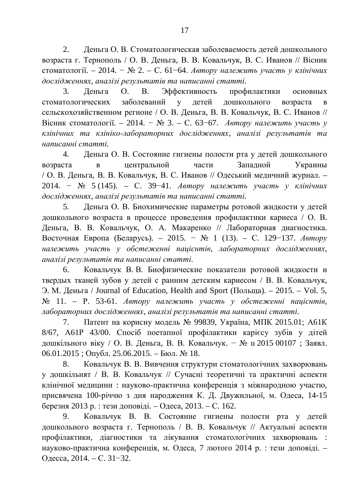2. Деньга О. В. Стоматологическая заболеваемость детей дошкольного возраста г. Тернополь / О. В. Деньга, В. В. Ковальчук, В. С. Иванов // Вісник стоматології. – 2014. – № 2. – С. 61–64. Автору належить участь у клінічних  $\partial$ ослідженнях, аналізі результатів та написанні статті.

3. Деньга О. В. Эффективность профилактики основных стоматологических заболеваний у детей дошкольного возраста в сельскохозяйственном регионе / О. В. Деньга, В. В. Ковальчук, В. С. Иванов // Вісник стоматології. – 2014. <sup>–</sup> № 3. – С. 63–67. *Автору належить участь у* клінічних та клініко-лабораторних дослідженнях, аналізі результатів та *ɧɚɩɢɫɚɧɧɿɫɬɚɬɬɿ.*

4. Деньга О. В. Состояние гигиены полости рта у детей дошкольного возраста в центральной части Западной Украины / О. В. Деньга, В. В. Ковальчук, В. С. Иванов // Одеський медичний журнал. – 2014. – № 5 (145). – С. 39-41. *Автору належить участь у клінічних* дослідженнях, аналізі результатів та написанні статті.

5. Деньга О. В. Биохимические параметры ротовой жидкости у детей дошкольного возраста в процессе проведения профилактики кариеса / О. В. Деньга, В. В. Ковальчук, О. А. Макаренко // Лабораторная диагностика. Bосточная Европа (Беларусь). – 2015. <sup>–</sup> № 1 (13). – С. 129–137. *Автору ɧɚɥɟɠɢɬɶ ɭɱɚɫɬɶ ɭ ɨɛɫɬɟɠɟɧɧɿ ɩɚɰɿɽɧɬɿɜ, ɥɚɛɨɪɚɬɨɪɧɢɯ ɞɨɫɥɿɞɠɟɧɧɹɯ, ɚɧɚɥɿɡɿɪɟɡɭɥɶɬɚɬɿɜɬɚɧɚɩɢɫɚɧɧɿɫɬɚɬɬɿ.*

6. Ковальчук В. В. Биофизические показатели ротовой жидкости и твердых тканей зубов у детей с ранним детским кариесом / В. В. Ковальчук, Э. М. Деньга / Journal of Education, Health and Sport (Польща). – 2015. – Vol. 5,  $N<sub>2</sub>$  11. – Р. 53-61. *Автору належить участь у обстеженні пацієнтів*, дабораторних дослідженнях, аналізі результатів та написанні статті.

7. Патент на корисну модель  $\mathcal{N}_2$  99839, Україна, МПК 2015.01; Аб1К 8/67, А61Р 43/00. Спосіб поетапної профілактики карієсу зубів у дітей дошкільного віку / О. В. Деньга, В. В. Ковальчук. − № и 2015 00107 ; Заявл.  $06.01.2015$ ; Опубл. 25.06.2015. – Бюл. № 18.

8. Ковальчук В. В. Вивчення структури стоматологічних захворювань у дошкільнят / В. В. Ковальчук // Сучасні теоретичні та практичні аспекти клінічної медицини : науково-практична конференція з міжнародною участю, присвячена 100-річчю з дня народження К. Д. Двужильної, м. Одеса, 14-15 березня 2013 р. : тези доповіді. – Одеса, 2013. – С. 162.

9. Ковальчук В. В. Состояние гигиены полости рта у детей дошкольного возраста г. Тернополь / В. В. Ковальчук // Актуальні аспекти профілактики, діагностики та лікування стоматологічних захворювань : науково-практична конференція, м. Одеса, 7 лютого 2014 р.: тези доповіді. -Одесса, 2014. – С. 31–32.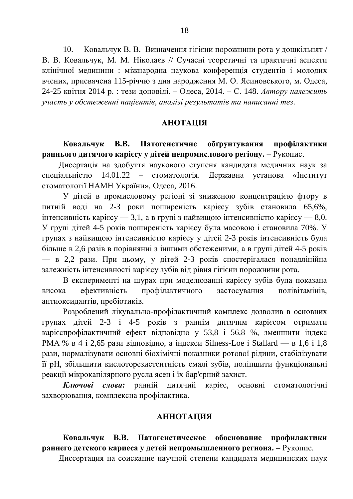10. Ковальчук В. В. Визначення гігієни порожнини рота у дошкільнят / В. В. Ковальчук, М. М. Ніколаєв // Сучасні теоретичні та практичні аспекти клінічної медицини : міжнародна наукова конференція студентів і молодих вчених, присвячена 115-річчю з дня народження М. О. Ясиновського, м. Одеса, 24-25 квітня 2014 р. : тези доповіді. – Одеса, 2014. – С. 148. Автору належить *ɭɱɚɫɬɶɭɨɛɫɬɟɠɟɧɧɿɩɚɰɿɽɧɬɿɜ, ɚɧɚɥɿɡɿɪɟɡɭɥɶɬɚɬɿɜɬɚɧɚɩɢɫɚɧɧɿɬɟɡ.*

### **АНОТАЦІЯ**

## Ковальчук В.В. Патогенетичне обґрунтування профілактики **раннього дитячого карієсу у дітей непромислового регіону.** – Рукопис.

Дисертація на здобуття наукового ступеня кандидата медичних наук за спеціальністю 14.01.22 – стоматологія. Державна установа «Інститут стоматології НАМН України», Одеса, 2016.

У дітей в промисловому регіоні зі зниженою концентрацією фтору в питній воді на 2-3 роки поширеність карієсу зубів становила 65,6%,  $\overline{a}$ нтенсивність карієсу — 3,1, а в групі з найвищою інтенсивністю карієсу — 8,0. У групі дітей 4-5 років поширеність карієсу була масовою і становила 70%. У групах з найвищою інтенсивністю карієсу у дітей 2-3 років інтенсивність була більше в 2,6 разів в порівнянні з іншими обстеженими, а в групі дітей 4-5 років — в 2,2 рази. При цьому, у дітей 2-3 років спостерігалася понадлінійна залежність інтенсивності карієсу зубів від рівня гігієни порожнини рота.

В експерименті на щурах при моделюванні карієсу зубів була показана висока ефективність профілактичного застосування полівітамінів, антиоксидантів, пребіотиків.

Розроблений лікувально-профілактичний комплекс дозволив в основних групах дітей 2-3 і 4-5 років з раннім дитячим карієсом отримати карієспрофілактичний ефект відповідно у 53,8 і 56,8 %, зменшити індекс PMA % в 4 і 2,65 рази відповідно, а індекси Silness-Loe і Stallard — в 1,6 і 1,8 рази, нормалізувати основні біохімічні показники ротової рідини, стабілізувати її рН, збільшити кислоторезистентність емалі зубів, поліпшити функціональні реакції мікрокапілярного русла ясен і їх бар'єрний захист.

Ключові слова: ранній дитячий карієс, основні стоматологічні захворювання, комплексна профілактика.

#### **МИЗИМАТОННА**

### Ковальчук В.В. Патогенетическое обоснование профилактики **раннего детского кариеса у детей непромышленного региона.** – Рукопис.

Диссертация на соискание научной степени кандидата медицинских наук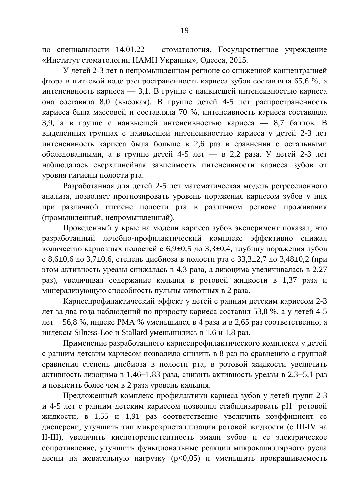по специальности 14.01.22 – стоматология. Государственное учреждение «Институт стоматологии НАМН Украины», Одесса, 2015.

У детей 2-3 лет в непромышленном регионе со сниженной концентрацией фтора в питьевой воде распространенность кариеса зубов составляла 65,6 %, а интенсивность кариеса — 3,1. В группе с наивысшей интенсивностью кариеса она составила 8,0 (высокая). В группе детей 4-5 лет распространенность кариеса была массовой и составляла 70 %, интенсивность кариеса составляла 3,9, а в группе с наивысшей интенсивностью кариеса — 8,7 баллов. В выделенных группах с наивысшей интенсивностью кариеса у детей 2-3 лет интенсивность кариеса была больше в 2,6 раз в сравнении с остальными обследованными, а в группе детей 4-5 лет — в 2,2 раза. У детей 2-3 лет наблюдалась сверхлинейная зависимость интенсивности кариеса зубов от уровня гигиены полости рта.

Разработанная для детей 2-5 лет математическая модель регрессионного анализа, позволяет прогнозировать уровень поражения кариесом зубов у них при различной гигиене полости рта в различном регионе проживания (промышленный, непромышленный).

Проведенный у крыс на модели кариеса зубов эксперимент показал, что разработанный лечебно-профилактический комплекс эффективно снижал количество кариозных полостей с 6,9 $\pm$ 0,5 до 3,3 $\pm$ 0,4, глубину поражения зубов с 8,6 $\pm$ 0,6 до 3,7 $\pm$ 0,6, степень дисбиоза в полости рта с 33,3 $\pm$ 2,7 до 3,48 $\pm$ 0,2 (при этом активность уреазы снижалась в 4,3 раза, а лизоцима увеличивалась в 2,27 раз), увеличивал содержание кальция в ротовой жидкости в 1,37 раза и минерализующую способность пульпы животных в 2 раза.

Кариеспрофилактический эффект у детей с ранним детским кариесом 2-3 дет за два года наблюдений по приросту кариеса составил 53,8 %, а у детей 4-5  $\text{IHT}$  – 56,8 %, индекс РМА % уменьшился в 4 раза и в 2,65 раз соответственно, а индексы Silness-Loe и Stallard уменьшились в 1,6 и 1,8 раз.

Применение разработанного кариеспрофилактического комплекса у детей с ранним детским кариесом позволило снизить в 8 раз по сравнению с группой сравнения степень дисбиоза в полости рта, в ротовой жидкости увеличить активность лизоцима в 1,46–1,83 раза, снизить активность уреазы в 2,3–5,1 раз и повысить более чем в 2 раза уровень кальция.

Предложенный комплекс профилактики кариеса зубов у детей групп 2-3 и 4-5 лет с ранним детским кариесом позволил стабилизировать рН ротовой жидкости, в 1,55 и 1,91 раз соответственно увеличить коэффициент ее дисперсии, улучшить тип микрокристаллизации ротовой жидкости (с III-IV на II-III), увеличить кислоторезистентность эмали зубов и ее электрическое сопротивление, улучшить функциональные реакции микрокапиллярного русла десны на жевательную нагрузку (р<0,05) и уменьшить прокрашиваемость